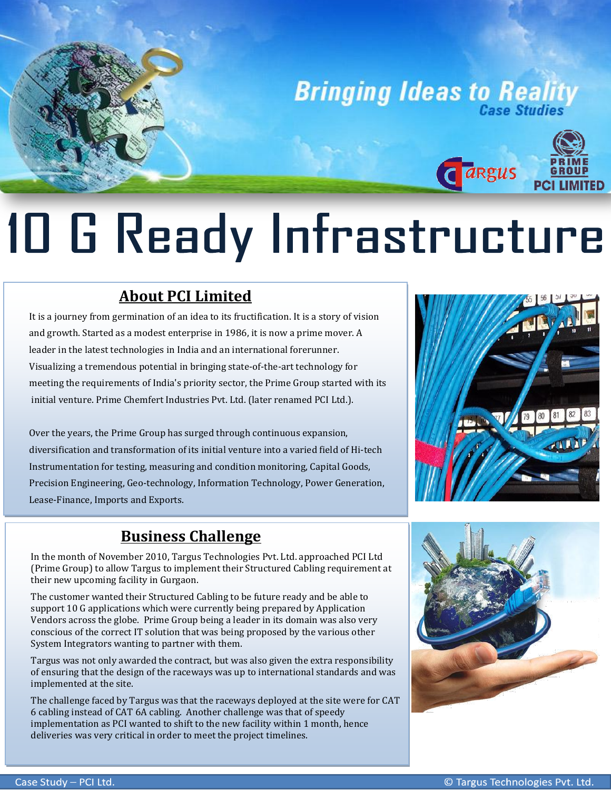

# 10 G Ready Infrastructure

## **About PCI Limited**

It is a journey from germination of an idea to its fructification. It is a story of vision and growth. Started as a modest enterprise in 1986, it is now a prime mover. A leader in the latest technologies in India and an international forerunner. Visualizing a tremendous potential in bringing state-of-the-art technology for meeting the requirements of India's priority sector, the Prime Group started with its initial venture. Prime Chemfert Industries Pvt. Ltd. (later renamed PCI Ltd.).

Over the years, the Prime Group has surged through continuous expansion, diversification and transformation of its initial venture into a varied field of Hi-tech Instrumentation for testing, measuring and condition monitoring, Capital Goods, Precision Engineering, Geo-technology, Information Technology, Power Generation, Lease-Finance, Imports and Exports.



### **Business Challenge**

In the month of November 2010, Targus Technologies Pvt. Ltd. approached PCI Ltd (Prime Group) to allow Targus to implement their Structured Cabling requirement at their new upcoming facility in Gurgaon.

The customer wanted their Structured Cabling to be future ready and be able to support 10 G applications which were currently being prepared by Application Vendors across the globe. Prime Group being a leader in its domain was also very conscious of the correct IT solution that was being proposed by the various other System Integrators wanting to partner with them.

Targus was not only awarded the contract, but was also given the extra responsibility of ensuring that the design of the raceways was up to international standards and was implemented at the site.

 implementation as PCI wanted to shift to the new facility within 1 month, hence deliveries was very critical in order to meet the project timelines.The challenge faced by Targus was that the raceways deployed at the site were for CAT 6 cabling instead of CAT 6A cabling. Another challenge was that of speedy